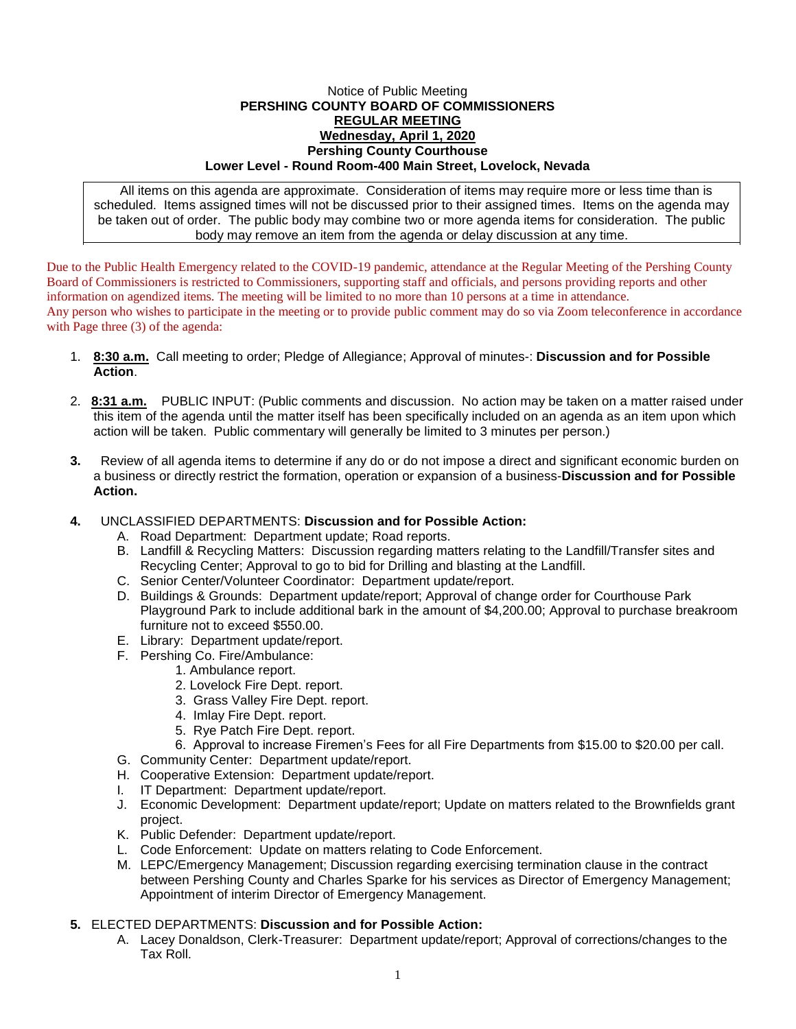## Notice of Public Meeting **PERSHING COUNTY BOARD OF COMMISSIONERS REGULAR MEETING Wednesday, April 1, 2020 Pershing County Courthouse Lower Level - Round Room-400 Main Street, Lovelock, Nevada**

All items on this agenda are approximate. Consideration of items may require more or less time than is scheduled. Items assigned times will not be discussed prior to their assigned times. Items on the agenda may be taken out of order. The public body may combine two or more agenda items for consideration. The public body may remove an item from the agenda or delay discussion at any time.

Due to the Public Health Emergency related to the COVID-19 pandemic, attendance at the Regular Meeting of the Pershing County Board of Commissioners is restricted to Commissioners, supporting staff and officials, and persons providing reports and other information on agendized items. The meeting will be limited to no more than 10 persons at a time in attendance. Any person who wishes to participate in the meeting or to provide public comment may do so via Zoom teleconference in accordance with Page three (3) of the agenda:

- 1. **8:30 a.m.** Call meeting to order; Pledge of Allegiance; Approval of minutes-: **Discussion and for Possible Action**.
- 2. **8:31 a.m.** PUBLIC INPUT: (Public comments and discussion. No action may be taken on a matter raised under this item of the agenda until the matter itself has been specifically included on an agenda as an item upon which action will be taken. Public commentary will generally be limited to 3 minutes per person.)
- **3.** Review of all agenda items to determine if any do or do not impose a direct and significant economic burden on a business or directly restrict the formation, operation or expansion of a business-**Discussion and for Possible Action.**
- **4.** UNCLASSIFIED DEPARTMENTS: **Discussion and for Possible Action:**
	- A. Road Department: Department update; Road reports.
	- B. Landfill & Recycling Matters: Discussion regarding matters relating to the Landfill/Transfer sites and Recycling Center; Approval to go to bid for Drilling and blasting at the Landfill.
	- C. Senior Center/Volunteer Coordinator: Department update/report.
	- D. Buildings & Grounds: Department update/report; Approval of change order for Courthouse Park Playground Park to include additional bark in the amount of \$4,200.00; Approval to purchase breakroom furniture not to exceed \$550.00.
	- E. Library: Department update/report.
	- F. Pershing Co. Fire/Ambulance:
		- 1. Ambulance report.
		- 2. Lovelock Fire Dept. report.
		- 3. Grass Valley Fire Dept. report.
		- 4. Imlay Fire Dept. report.
		- 5. Rye Patch Fire Dept. report.
		- 6. Approval to increase Firemen's Fees for all Fire Departments from \$15.00 to \$20.00 per call.
	- G. Community Center: Department update/report.
	- H. Cooperative Extension: Department update/report.
	- I. IT Department: Department update/report.
	- J. Economic Development: Department update/report; Update on matters related to the Brownfields grant project.
	- K. Public Defender: Department update/report.
	- L. Code Enforcement: Update on matters relating to Code Enforcement.
	- M. LEPC/Emergency Management; Discussion regarding exercising termination clause in the contract between Pershing County and Charles Sparke for his services as Director of Emergency Management; Appointment of interim Director of Emergency Management.
- **5.** ELECTED DEPARTMENTS: **Discussion and for Possible Action:**
	- A. Lacey Donaldson, Clerk-Treasurer: Department update/report; Approval of corrections/changes to the Tax Roll.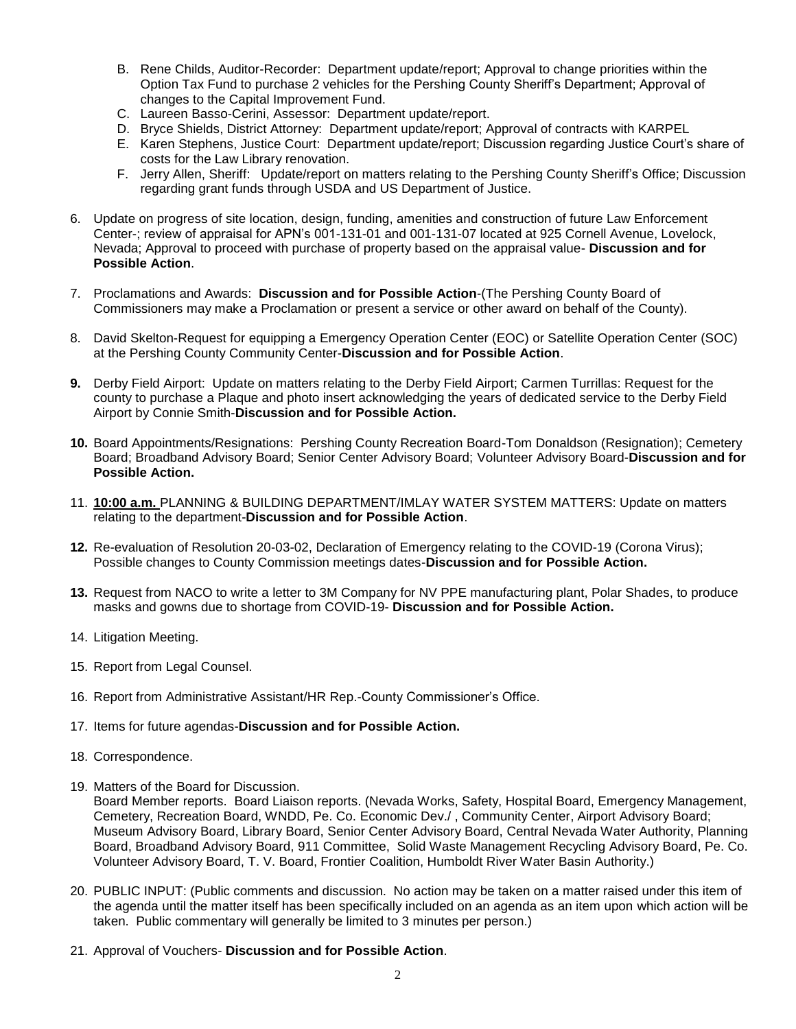- B. Rene Childs, Auditor-Recorder: Department update/report; Approval to change priorities within the Option Tax Fund to purchase 2 vehicles for the Pershing County Sheriff's Department; Approval of changes to the Capital Improvement Fund.
- C. Laureen Basso-Cerini, Assessor: Department update/report.
- D. Bryce Shields, District Attorney: Department update/report; Approval of contracts with KARPEL
- E. Karen Stephens, Justice Court: Department update/report; Discussion regarding Justice Court's share of costs for the Law Library renovation.
- F. Jerry Allen, Sheriff: Update/report on matters relating to the Pershing County Sheriff's Office; Discussion regarding grant funds through USDA and US Department of Justice.
- 6. Update on progress of site location, design, funding, amenities and construction of future Law Enforcement Center-; review of appraisal for APN's 001-131-01 and 001-131-07 located at 925 Cornell Avenue, Lovelock, Nevada; Approval to proceed with purchase of property based on the appraisal value- **Discussion and for Possible Action**.
- 7. Proclamations and Awards: **Discussion and for Possible Action**-(The Pershing County Board of Commissioners may make a Proclamation or present a service or other award on behalf of the County).
- 8. David Skelton-Request for equipping a Emergency Operation Center (EOC) or Satellite Operation Center (SOC) at the Pershing County Community Center-**Discussion and for Possible Action**.
- **9.** Derby Field Airport: Update on matters relating to the Derby Field Airport; Carmen Turrillas: Request for the county to purchase a Plaque and photo insert acknowledging the years of dedicated service to the Derby Field Airport by Connie Smith-**Discussion and for Possible Action.**
- **10.** Board Appointments/Resignations: Pershing County Recreation Board-Tom Donaldson (Resignation); Cemetery Board; Broadband Advisory Board; Senior Center Advisory Board; Volunteer Advisory Board-**Discussion and for Possible Action.**
- 11. **10:00 a.m.** PLANNING & BUILDING DEPARTMENT/IMLAY WATER SYSTEM MATTERS: Update on matters relating to the department-**Discussion and for Possible Action**.
- **12.** Re-evaluation of Resolution 20-03-02, Declaration of Emergency relating to the COVID-19 (Corona Virus); Possible changes to County Commission meetings dates-**Discussion and for Possible Action.**
- **13.** Request from NACO to write a letter to 3M Company for NV PPE manufacturing plant, Polar Shades, to produce masks and gowns due to shortage from COVID-19- **Discussion and for Possible Action.**
- 14. Litigation Meeting.
- 15. Report from Legal Counsel.
- 16. Report from Administrative Assistant/HR Rep.-County Commissioner's Office.
- 17. Items for future agendas-**Discussion and for Possible Action.**
- 18. Correspondence.
- 19. Matters of the Board for Discussion.

Board Member reports. Board Liaison reports. (Nevada Works, Safety, Hospital Board, Emergency Management, Cemetery, Recreation Board, WNDD, Pe. Co. Economic Dev./ , Community Center, Airport Advisory Board; Museum Advisory Board, Library Board, Senior Center Advisory Board, Central Nevada Water Authority, Planning Board, Broadband Advisory Board, 911 Committee, Solid Waste Management Recycling Advisory Board, Pe. Co. Volunteer Advisory Board, T. V. Board, Frontier Coalition, Humboldt River Water Basin Authority.)

- 20. PUBLIC INPUT: (Public comments and discussion. No action may be taken on a matter raised under this item of the agenda until the matter itself has been specifically included on an agenda as an item upon which action will be taken. Public commentary will generally be limited to 3 minutes per person.)
- 21. Approval of Vouchers- **Discussion and for Possible Action**.